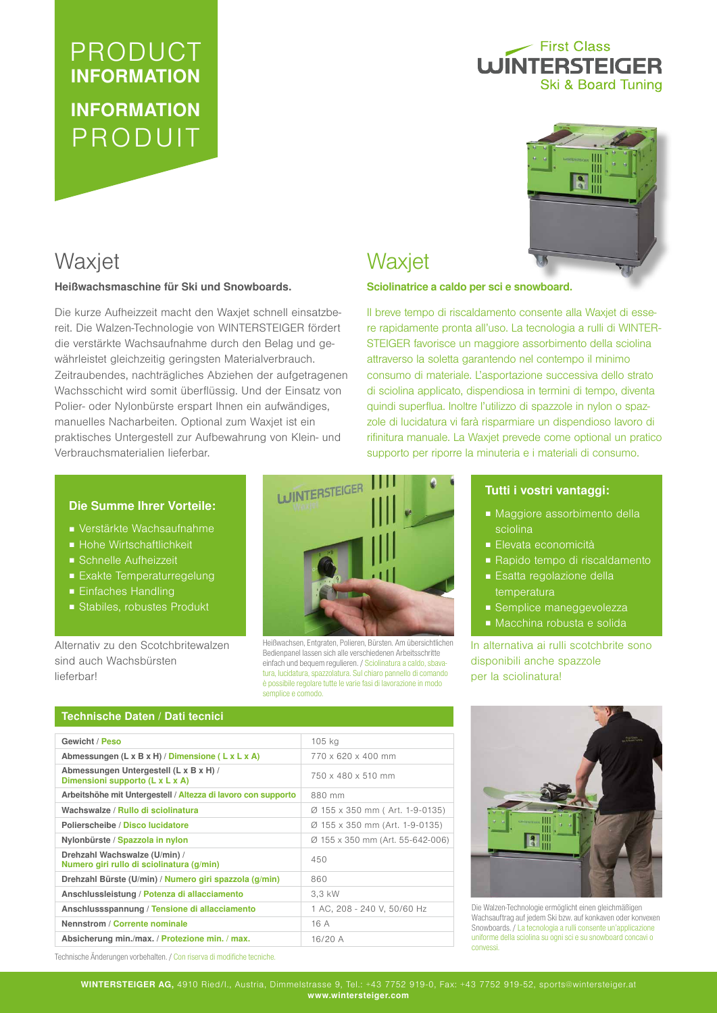# PRODUCT INFORMATION INFORMATION PRODUIT

## First Class **WINTERSTEIGER Ski & Board Tuning**



## Waxjet

#### Heißwachsmaschine für Ski und Snowboards.

Die kurze Aufheizzeit macht den Waxjet schnell einsatzbereit. Die Walzen-Technologie von WINTERSTEIGER fördert die verstärkte Wachsaufnahme durch den Belag und gewährleistet gleichzeitig geringsten Materialverbrauch. Zeitraubendes, nachträgliches Abziehen der aufgetragenen Wachsschicht wird somit überflüssig. Und der Einsatz von Polier- oder Nylonbürste erspart Ihnen ein aufwändiges, manuelles Nacharbeiten. Optional zum Waxjet ist ein praktisches Untergestell zur Aufbewahrung von Klein- und Verbrauchsmaterialien lieferbar.

### Die Summe Ihrer Vorteile:

- Verstärkte Wachsaufnahme
- Hohe Wirtschaftlichkeit
- Schnelle Aufheizzeit
- Exakte Temperaturregelung
- Einfaches Handling
- Stabiles, robustes Produkt

Alternativ zu den Scotchbritewalzen sind auch Wachsbürsten lieferbar!



Heißwachsen, Entgraten, Polieren, Bürsten. Am übersichtlichen Bedienpanel lassen sich alle verschiedenen Arbeitsschritte einfach und bequem regulieren. / Sciolinatura a caldo, sbavatura, lucidatura, spazzolatura. Sul chiaro pannello di comando è possibile regolare tutte le varie fasi di lavorazione in modo semplice e comodo.

## Sciolinatrice a caldo per sci e snowboard.

**Waxjet** 

Il breve tempo di riscaldamento consente alla Waxjet di essere rapidamente pronta all'uso. La tecnologia a rulli di WINTER-STEIGER favorisce un maggiore assorbimento della sciolina attraverso la soletta garantendo nel contempo il minimo consumo di materiale. L'asportazione successiva dello strato di sciolina applicato, dispendiosa in termini di tempo, diventa quindi superflua. Inoltre l'utilizzo di spazzole in nylon o spazzole di lucidatura vi farà risparmiare un dispendioso lavoro di rifinitura manuale. La Waxjet prevede come optional un pratico supporto per riporre la minuteria e i materiali di consumo.

### Tutti i vostri vantaggi:

- Maggiore assorbimento della sciolina
- Elevata economicità
- Rapido tempo di riscaldamento
- Esatta regolazione della temperatura
- Semplice maneggevolezza
- Macchina robusta e solida

In alternativa ai rulli scotchbrite sono disponibili anche spazzole per la sciolinatura!

| Technische Daten / Dati tecnici |  |  |
|---------------------------------|--|--|
|                                 |  |  |

| TCCMINSCHC DATCH / DAII ICCHICI                                            |                                  |  |  |
|----------------------------------------------------------------------------|----------------------------------|--|--|
|                                                                            |                                  |  |  |
| Gewicht / Peso                                                             | $105$ kg                         |  |  |
| Abmessungen (L x B x H) / Dimensione (L x L x A)                           | 770 x 620 x 400 mm               |  |  |
| Abmessungen Untergestell (L x B x H) /<br>Dimensioni supporto (L x L x A)  | 750 x 480 x 510 mm               |  |  |
| Arbeitshöhe mit Untergestell / Altezza di lavoro con supporto              | 880 mm                           |  |  |
| Wachswalze / Rullo di sciolinatura                                         | Ø 155 x 350 mm (Art. 1-9-0135)   |  |  |
| Polierscheibe / Disco lucidatore                                           | Ø 155 x 350 mm (Art. 1-9-0135)   |  |  |
| Nylonbürste / Spazzola in nylon                                            | Ø 155 x 350 mm (Art. 55-642-006) |  |  |
| Drehzahl Wachswalze (U/min) /<br>Numero giri rullo di sciolinatura (g/min) | 450                              |  |  |
| Drehzahl Bürste (U/min) / Numero giri spazzola (g/min)                     | 860                              |  |  |
| Anschlussleistung / Potenza di allacciamento                               | 3.3 kW                           |  |  |
| Anschlussspannung / Tensione di allacciamento                              | 1 AC, 208 - 240 V, 50/60 Hz      |  |  |
| Nennstrom / Corrente nominale                                              | 16 A                             |  |  |
| Absicherung min./max. / Protezione min. / max.                             | 16/20A                           |  |  |



Die Walzen-Technologie ermöglicht einen gleichmäßigen Wachsauftrag auf jedem Ski bzw. auf konkaven oder konvexen Snowboards. / La tecnologia a rulli consente un'applicazione uniforme della sciolina su ogni sci e su snowboard concavi o convessi.

Technische Änderungen vorbehalten. / Con riserva di modifiche tecniche.